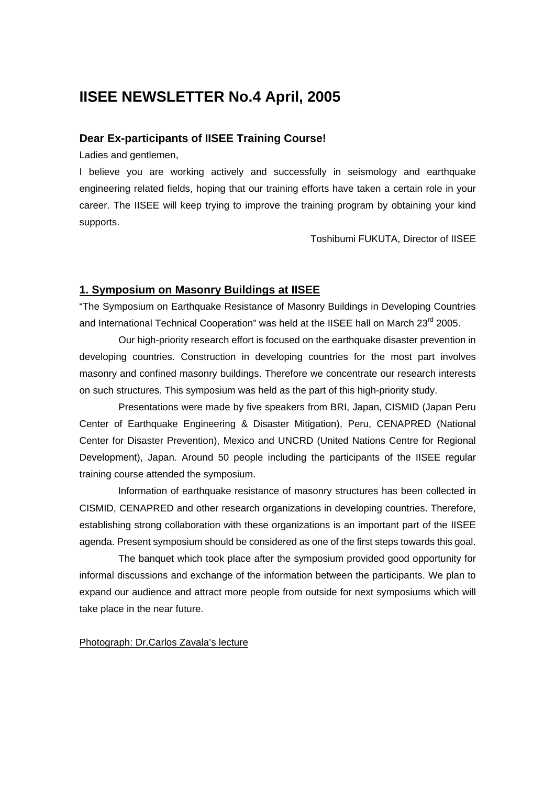## **IISEE NEWSLETTER No.4 April, 2005**

## **Dear Ex-participants of IISEE Training Course!**

Ladies and gentlemen,

I believe you are working actively and successfully in seismology and earthquake engineering related fields, hoping that our training efforts have taken a certain role in your career. The IISEE will keep trying to improve the training program by obtaining your kind supports.

Toshibumi FUKUTA, Director of IISEE

## **1. Symposium on Masonry Buildings at IISEE**

"The Symposium on Earthquake Resistance of Masonry Buildings in Developing Countries and International Technical Cooperation" was held at the IISEE hall on March 23<sup>rd</sup> 2005.

Our high-priority research effort is focused on the earthquake disaster prevention in developing countries. Construction in developing countries for the most part involves masonry and confined masonry buildings. Therefore we concentrate our research interests on such structures. This symposium was held as the part of this high-priority study.

Presentations were made by five speakers from BRI, Japan, CISMID (Japan Peru Center of Earthquake Engineering & Disaster Mitigation), Peru, CENAPRED (National Center for Disaster Prevention), Mexico and UNCRD (United Nations Centre for Regional Development), Japan. Around 50 people including the participants of the IISEE regular training course attended the symposium.

 Information of earthquake resistance of masonry structures has been collected in CISMID, CENAPRED and other research organizations in developing countries. Therefore, establishing strong collaboration with these organizations is an important part of the IISEE agenda. Present symposium should be considered as one of the first steps towards this goal.

The banquet which took place after the symposium provided good opportunity for informal discussions and exchange of the information between the participants. We plan to expand our audience and attract more people from outside for next symposiums which will take place in the near future.

Photograph: Dr.Carlos Zavala's lecture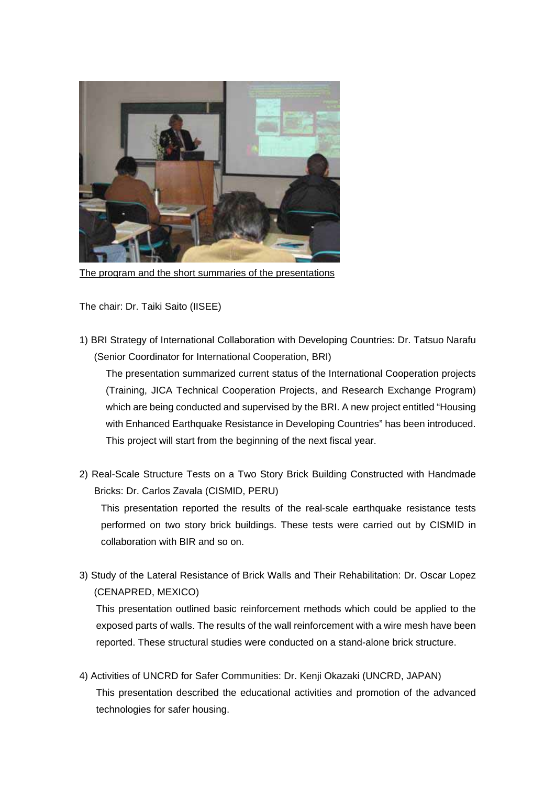

The program and the short summaries of the presentations

The chair: Dr. Taiki Saito (IISEE)

1) BRI Strategy of International Collaboration with Developing Countries: Dr. Tatsuo Narafu (Senior Coordinator for International Cooperation, BRI)

The presentation summarized current status of the International Cooperation projects (Training, JICA Technical Cooperation Projects, and Research Exchange Program) which are being conducted and supervised by the BRI. A new project entitled "Housing with Enhanced Earthquake Resistance in Developing Countries" has been introduced. This project will start from the beginning of the next fiscal year.

2) Real-Scale Structure Tests on a Two Story Brick Building Constructed with Handmade Bricks: Dr. Carlos Zavala (CISMID, PERU)

This presentation reported the results of the real-scale earthquake resistance tests performed on two story brick buildings. These tests were carried out by CISMID in collaboration with BIR and so on.

3) Study of the Lateral Resistance of Brick Walls and Their Rehabilitation: Dr. Oscar Lopez (CENAPRED, MEXICO)

This presentation outlined basic reinforcement methods which could be applied to the exposed parts of walls. The results of the wall reinforcement with a wire mesh have been reported. These structural studies were conducted on a stand-alone brick structure.

4) Activities of UNCRD for Safer Communities: Dr. Kenji Okazaki (UNCRD, JAPAN) This presentation described the educational activities and promotion of the advanced technologies for safer housing.